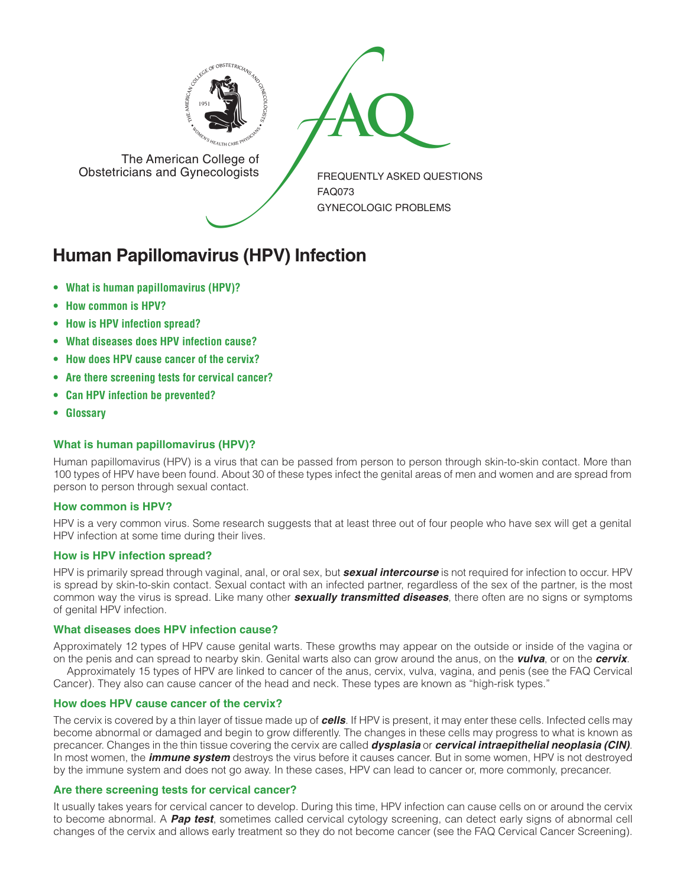

The American College of<br>
Obstetricians and Gynecologists

The American College of<br>Obstetricians and Gynecologists

FREQUENTLY ASKED QUESTIONS FAQ073 GYNECOLOGIC PROBLEMS

# **Human Papillomavirus (HPV) Infection**

- **• What is human papillomavirus (HPV)?**
- **• How common is HPV?**
- **• How is HPV infection spread?**
- **• What diseases does HPV infection cause?**
- **• How does HPV cause cancer of the cervix?**
- **• Are there screening tests for cervical cancer?**
- **• Can HPV infection be prevented?**
- **• Glossary**

# **What is human papillomavirus (HPV)?**

Human papillomavirus (HPV) is a virus that can be passed from person to person through skin-to-skin contact. More than 100 types of HPV have been found. About 30 of these types infect the genital areas of men and women and are spread from person to person through sexual contact.

# **How common is HPV?**

HPV is a very common virus. Some research suggests that at least three out of four people who have sex will get a genital HPV infection at some time during their lives.

# **How is HPV infection spread?**

HPV is primarily spread through vaginal, anal, or oral sex, but *sexual intercourse* is not required for infection to occur. HPV is spread by skin-to-skin contact. Sexual contact with an infected partner, regardless of the sex of the partner, is the most common way the virus is spread. Like many other *sexually transmitted diseases*, there often are no signs or symptoms of genital HPV infection.

# **What diseases does HPV infection cause?**

Approximately 12 types of HPV cause genital warts. These growths may appear on the outside or inside of the vagina or on the penis and can spread to nearby skin. Genital warts also can grow around the anus, on the *vulva*, or on the *cervix*.

Approximately 15 types of HPV are linked to cancer of the anus, cervix, vulva, vagina, and penis (see the FAQ Cervical Cancer). They also can cause cancer of the head and neck. These types are known as "high-risk types."

#### **How does HPV cause cancer of the cervix?**

The cervix is covered by a thin layer of tissue made up of *cells*. If HPV is present, it may enter these cells. Infected cells may become abnormal or damaged and begin to grow differently. The changes in these cells may progress to what is known as precancer. Changes in the thin tissue covering the cervix are called *dysplasia* or *cervical intraepithelial neoplasia (CIN)*. In most women, the *immune system* destroys the virus before it causes cancer. But in some women, HPV is not destroyed by the immune system and does not go away. In these cases, HPV can lead to cancer or, more commonly, precancer.

# **Are there screening tests for cervical cancer?**

It usually takes years for cervical cancer to develop. During this time, HPV infection can cause cells on or around the cervix to become abnormal. A *Pap test*, sometimes called cervical cytology screening, can detect early signs of abnormal cell changes of the cervix and allows early treatment so they do not become cancer (see the FAQ Cervical Cancer Screening).